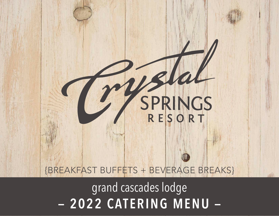# – 2022 CATERING MENU – grand cascades lodge

# {BREAKFAST BUFFETS + BEVERAGE BREAKS}

# SPRINGS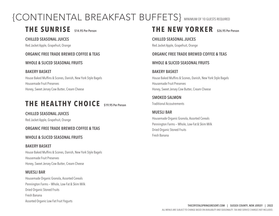# {CONTINENTAL BREAKFAST BUFFETS} MINIMUM OF 10 GUESTS REQUIRED

## **THE SUNRISE \$14.95 Per Person**

#### **CHILLED SEASONAL JUICES**

Red Jacket Apple, Grapefruit, Orange

#### **ORGANIC FREE TRADE BREWED COFFEE & TEAS**

#### **WHOLE & SLICED SEASONAL FRUITS**

#### **BAKERY BASKET**

House Baked Muffins & Scones, Danish, New York Style Bagels Housemade Fruit Preserves Honey, Sweet Jersey Cow Butter, Cream Cheese

## **THE HEALTHY CHOICE \$19.95 Per Person**

#### **CHILLED SEASONAL JUICES**

Red Jacket Apple, Grapefruit, Orange

#### **ORGANIC FREE TRADE BREWED COFFEE & TEAS**

#### **WHOLE & SLICED SEASONAL FRUITS**

#### **BAKERY BASKET**

House Baked Muffins & Scones, Danish, New York Style Bagels Housemade Fruit Preserves Honey, Sweet Jersey Cow Butter, Cream Cheese

#### **MUESLI BAR**

Housemade Organic Granola, Assorted Cereals Pennington Farms — Whole, Low-Fat & Skim Milk Dried Organic Stoned Fruits Fresh Banana Assorted Organic Low Fat Fruit Yogurts

## **THE NEW YORKER \$26.95 Per Person**

#### **CHILLED SEASONAL JUICES**

Red Jacket Apple, Grapefruit, Orange

#### **ORGANIC FREE TRADE BREWED COFFEE & TEAS**

#### **WHOLE & SLICED SEASONAL FRUITS**

#### **BAKERY BASKET**

House Baked Muffins & Scones, Danish, New York Style Bagels Housemade Fruit Preserves Honey, Sweet Jersey Cow Butter, Cream Cheese

**SMOKED SALMON** Traditional Accoutrements

#### **MUESLI BAR**

Housemade Organic Granola, Assorted Cereals Pennington Farms — Whole, Low-Fat & Skim Milk Dried Organic Stoned Fruits Fresh Banana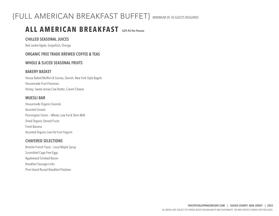## {FULL AMERICAN BREAKFAST BUFFET} MINIMUM OF 20 GUESTS REQUIRED

## **ALL AMERICAN BREAKFAST \$29.95 Per Person**

#### **CHILLED SEASONAL JUICES**

Red Jacket Apple, Grapefruit, Orange

#### **ORGANIC FREE TRADE BREWED COFFEE & TEAS**

#### **WHOLE & SLICED SEASONAL FRUITS**

#### **BAKERY BASKET**

House Baked Muffins & Scones, Danish, New York Style Bagels Housemade Fruit Preserves Honey, Sweet Jersey Cow Butter, Cream Cheese

#### **MUESLI BAR**

Housemade Organic Granola Assorted Cereals Pennington Farms — Whole, Low-Fat & Skim Milk Dried Organic Stoned Fruits Fresh Banana Assorted Organic Low Fat Fruit Yogurts

#### **CHAFERED SELECTIONS**

Brioche French Toast — Local Maple Syrup Scrambled Cage Free Eggs Applewood Smoked Bacon Breakfast Sausage Links Pine Island Russet Breakfast Potatoes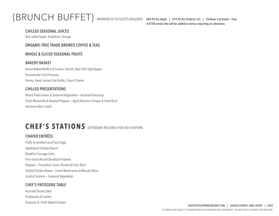# {BRUNCH BUFFET} MINIMUM OF 50 GUESTS REQUIRED **\$49.95 Per Adult | \$19.95 Per Child {6-12} | Children 5 & Under — Free**

**A \$150 service fee will be added to menus requiring an attendant.**

#### **CHILLED SEASONAL JUICES**

Red Jacket Apple, Grapefruit, Orange

#### **ORGANIC FREE TRADE BREWED COFFEE & TEAS**

#### **WHOLE & SLICED SEASONAL FRUITS**

#### **BAKERY BASKET**

House Baked Muffins & Scones, Danish, New York Style Bagels Housemade Fruit Preserves Honey, Sweet Jersey Cow Butter, Cream Cheese

#### **CHILLED PRESENTATIONS**

Mixed Field Greens & Seasonal Vegetables — Assorted Dressings Fresh Mozzarella & Roasted Peppers — Aged Balsamic Vinegar & Fresh Basil Heirloom Bean Salad

## CHEF'S STATIONS **{ATTENDANT REQUIRED FOR EACH STATION}**

#### **CHAFER ENTRÉES**

Fluffy Scrambled Local Farm Eggs Applewood Smoked Bacon Breakfast Sausage Links Pine Island Russet Breakfast Potatoes Rigatoni — Pomodoro Sauce, Ricotta & Fresh Basil Grilled Chicken Breast — Forest Mushrooms & Marsala Wine Scottish Salmon — Seasonal Vegetables

#### **CHEF'S PATISSERIE TABLE**

Assorted Sliced Cakes Profiteroles & Tartlets Brownies & Fresh Baked Cookies